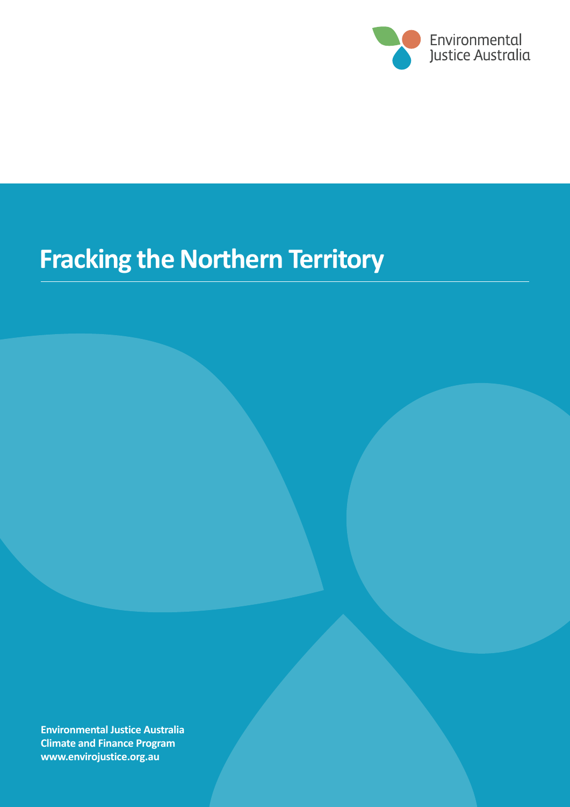

# **Fracking the Northern Territory**

**Environmental Justice Australia Climate and Finance Program www.envirojustice.org.au**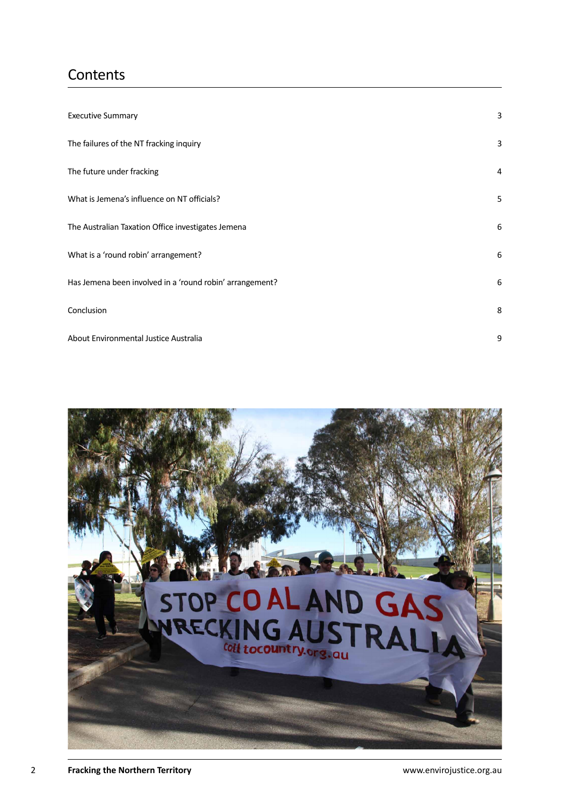## **Contents**

| <b>Executive Summary</b>                                 | 3 |
|----------------------------------------------------------|---|
| The failures of the NT fracking inquiry                  | 3 |
| The future under fracking                                | 4 |
| What is Jemena's influence on NT officials?              | 5 |
| The Australian Taxation Office investigates Jemena       | 6 |
| What is a 'round robin' arrangement?                     | 6 |
| Has Jemena been involved in a 'round robin' arrangement? | 6 |
| Conclusion                                               | 8 |
| About Environmental Justice Australia                    | 9 |

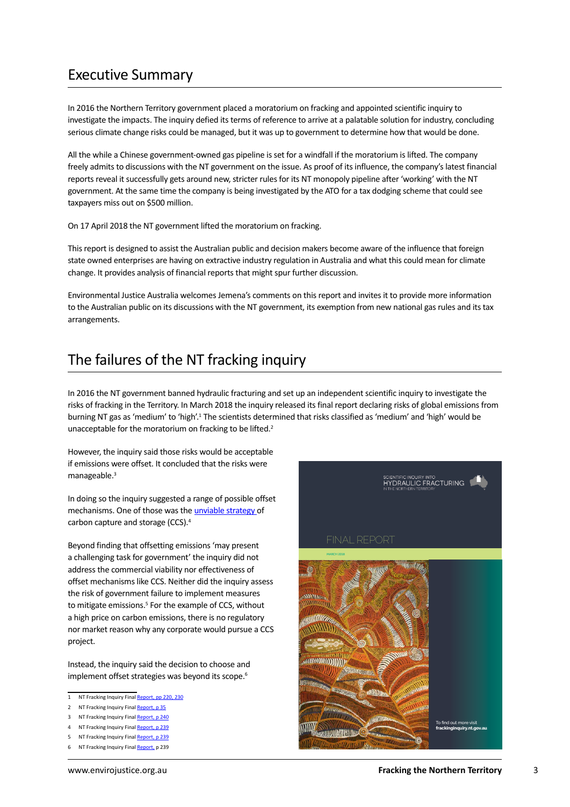#### <span id="page-2-0"></span>Executive Summary

In 2016 the Northern Territory government placed a moratorium on fracking and appointed scientific inquiry to investigate the impacts. The inquiry defied its terms of reference to arrive at a palatable solution for industry, concluding serious climate change risks could be managed, but it was up to government to determine how that would be done.

All the while a Chinese government-owned gas pipeline is set for a windfall if the moratorium is lifted. The company freely admits to discussions with the NT government on the issue. As proof of its influence, the company's latest financial reports reveal it successfully gets around new, stricter rules for its NT monopoly pipeline after 'working' with the NT government. At the same time the company is being investigated by the ATO for a tax dodging scheme that could see taxpayers miss out on \$500 million.

On 17 April 2018 the NT government lifted the moratorium on fracking.

This report is designed to assist the Australian public and decision makers become aware of the influence that foreign state owned enterprises are having on extractive industry regulation in Australia and what this could mean for climate change. It provides analysis of financial reports that might spur further discussion.

Environmental Justice Australia welcomes Jemena's comments on this report and invites it to provide more information to the Australian public on its discussions with the NT government, its exemption from new national gas rules and its tax arrangements.

#### The failures of the NT fracking inquiry

In 2016 the NT government banned hydraulic fracturing and set up an independent scientific inquiry to investigate the risks of fracking in the Territory. In March 2018 the inquiry released its final report declaring risks of global emissions from burning NT gas as 'medium' to 'high'.<sup>1</sup> The scientists determined that risks classified as 'medium' and 'high' would be unacceptable for the moratorium on fracking to be lifted.<sup>2</sup>

However, the inquiry said those risks would be acceptable if emissions were offset. It concluded that the risks were manageable.<sup>3</sup>

In doing so the inquiry suggested a range of possible offset mechanisms. One of those was the [unviable strategy](http://reneweconomy.com.au/coal-industrys-carbon-capture-dream-dangerous-fantasy-41399/) of carbon capture and storage (CCS).4

Beyond finding that offsetting emissions 'may present a challenging task for government' the inquiry did not address the commercial viability nor effectiveness of offset mechanisms like CCS. Neither did the inquiry assess the risk of government failure to implement measures to mitigate emissions.<sup>5</sup> For the example of CCS, without a high price on carbon emissions, there is no regulatory nor market reason why any corporate would pursue a CCS project.

Instead, the inquiry said the decision to choose and implement offset strategies was beyond its scope.<sup>6</sup>

- 1 NT Fracking Inquiry Final [Report,](https://frackinginquiry.nt.gov.au/inquiry-reports?a=494286) pp 220, 230
- 2 NT Fracking Inquiry Final [Report,](https://frackinginquiry.nt.gov.au/inquiry-reports?a=494286) p 35
- 3 NT Fracking Inquiry Final [Report,](https://frackinginquiry.nt.gov.au/inquiry-reports?a=494286) p 240
- 4 NT Fracking Inquiry Final [Report,](https://frackinginquiry.nt.gov.au/inquiry-reports?a=494286) p 239
- NT Fracking Inquiry Final [Report,](https://frackinginquiry.nt.gov.au/inquiry-reports?a=494286) p 239
- NT Fracking Inquiry Final [Report,](https://frackinginquiry.nt.gov.au/inquiry-reports?a=494286) p 239

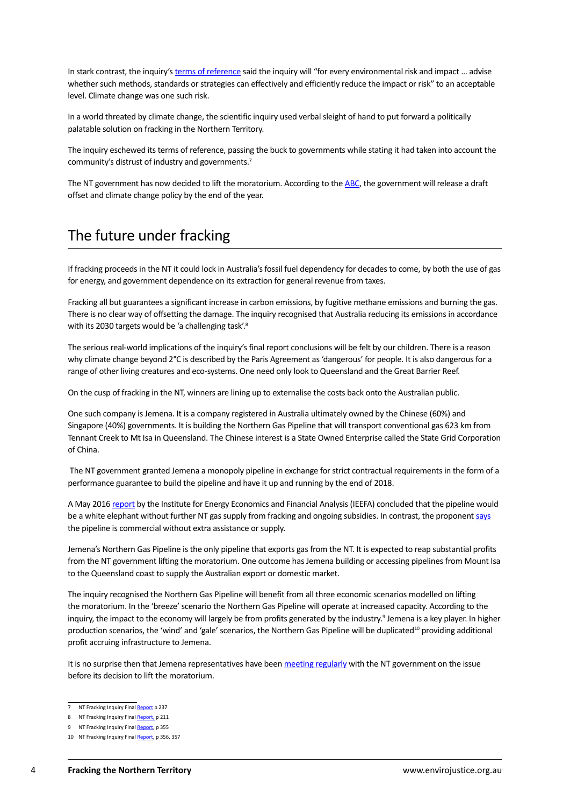<span id="page-3-0"></span>In stark contrast, the inquiry's [terms of reference](https://frackinginquiry.nt.gov.au/terms-of-reference) said the inquiry will "for every environmental risk and impact ... advise whether such methods, standards or strategies can effectively and efficiently reduce the impact or risk" to an acceptable level. Climate change was one such risk.

In a world threated by climate change, the scientific inquiry used verbal sleight of hand to put forward a politically palatable solution on fracking in the Northern Territory.

The inquiry eschewed its terms of reference, passing the buck to governments while stating it had taken into account the community's distrust of industry and governments.7

The NT government has now decided to lift the moratorium. According to the [ABC,](http://www.ntnews.com.au/news/northern-territory/fracking-given-green-light-by-nt-government/news-story/e6c02f2e0e0eeb837be33154b41a299c) the government will release a draft offset and climate change policy by the end of the year.

#### The future under fracking

If fracking proceeds in the NT it could lock in Australia's fossil fuel dependency for decades to come, by both the use of gas for energy, and government dependence on its extraction for general revenue from taxes.

Fracking all but guarantees a significant increase in carbon emissions, by fugitive methane emissions and burning the gas. There is no clear way of offsetting the damage. The inquiry recognised that Australia reducing its emissions in accordance with its 2030 targets would be 'a challenging task'.<sup>8</sup>

The serious real-world implications of the inquiry's final report conclusions will be felt by our children. There is a reason why climate change beyond  $2^{\circ}$ C is described by the Paris Agreement as 'dangerous' for people. It is also dangerous for a range of other living creatures and eco-systems. One need only look to Queensland and the Great Barrier Reef.

On the cusp of fracking in the NT, winners are lining up to externalise the costs back onto the Australian public.

One such company is Jemena. It is a company registered in Australia ultimately owned by the Chinese (60%) and Singapore (40%) governments. It is building the Northern Gas Pipeline that will transport conventional gas 623 km from Tennant Creek to Mt Isa in Queensland. The Chinese interest is a State Owned Enterprise called the State Grid Corporation of China.

 The NT government granted Jemena a monopoly pipeline in exchange for strict contractual requirements in the form of a performance guarantee to build the pipeline and have it up and running by the end of 2018.

A May 2016 [report](http://ieefa.org/ieefa-issues-pipe-dream-report-questioning-rationale-north-east-gas-interconnector-australia/) by the Institute for Energy Economics and Financial Analysis (IEEFA) concluded that the pipeline would be a white elephant without further NT gas supply from fracking and ongoing subsidies. In contrast, the proponent [says](http://www.abc.net.au/radio/programs/nt-country-hour/gas-pipeline-expansion-needs-fracking-says-jemena/9644592) the pipeline is commercial without extra assistance or supply.

Jemena's Northern Gas Pipeline is the only pipeline that exports gas from the NT. It is expected to reap substantial profits from the NT government lifting the moratorium. One outcome has Jemena building or accessing pipelines from Mount Isa to the Queensland coast to supply the Australian export or domestic market.

The inquiry recognised the Northern Gas Pipeline will benefit from all three economic scenarios modelled on lifting the moratorium. In the 'breeze' scenario the Northern Gas Pipeline will operate at increased capacity. According to the inquiry, the impact to the economy will largely be from profits generated by the industry.<sup>9</sup> Jemena is a key player. In higher production scenarios, the 'wind' and 'gale' scenarios, the Northern Gas Pipeline will be duplicated<sup>10</sup> providing additional profit accruing infrastructure to Jemena.

It is no surprise then that Jemena representatives have been [meeting regularly](http://www.abc.net.au/radio/programs/nt-country-hour/gas-pipeline-expansion-needs-fracking-says-jemena/9644592) with the NT government on the issue before its decision to lift the moratorium.

<sup>7</sup> NT Fracking Inquiry Final [Report](https://frackinginquiry.nt.gov.au/inquiry-reports?a=494286) p 237

<sup>8</sup> NT Fracking Inquiry Final [Report,](https://frackinginquiry.nt.gov.au/inquiry-reports?a=494286) p 211

<sup>9</sup> NT Fracking Inquiry Final [Report,](https://frackinginquiry.nt.gov.au/inquiry-reports?a=494286) p 355

<sup>10</sup> NT Fracking Inquiry Final [Report,](https://frackinginquiry.nt.gov.au/inquiry-reports?a=494286) p 356, 357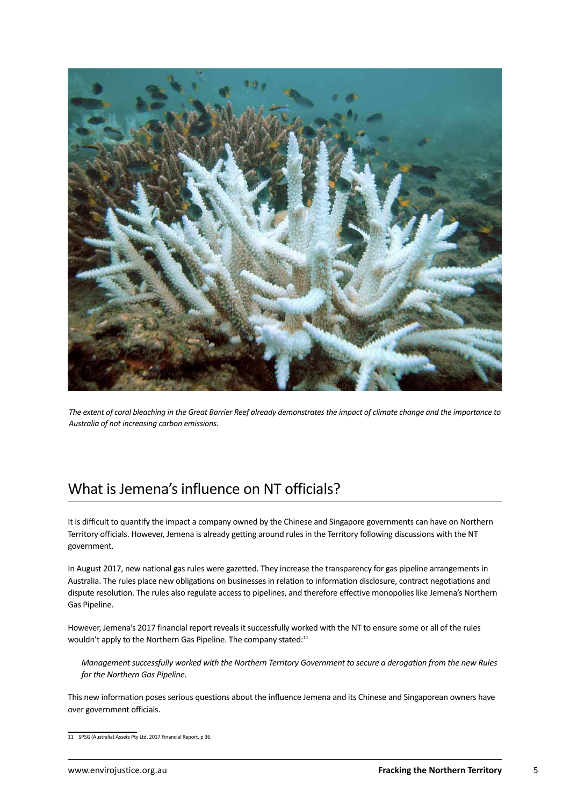<span id="page-4-0"></span>

*The extent of coral bleaching in the Great Barrier Reef already demonstrates the impact of climate change and the importance to Australia of not increasing carbon emissions.*

#### What is Jemena's influence on NT officials?

It is difficult to quantify the impact a company owned by the Chinese and Singapore governments can have on Northern Territory officials. However, Jemena is already getting around rules in the Territory following discussions with the NT government.

In August 2017, new national gas rules were gazetted. They increase the transparency for gas pipeline arrangements in Australia. The rules place new obligations on businesses in relation to information disclosure, contract negotiations and dispute resolution. The rules also regulate access to pipelines, and therefore effective monopolies like Jemena's Northern Gas Pipeline.

However, Jemena's 2017 financial report reveals it successfully worked with the NT to ensure some or all of the rules wouldn't apply to the Northern Gas Pipeline. The company stated:<sup>11</sup>

*Management successfully worked with the Northern Territory Government to secure a derogation from the new Rules for the Northern Gas Pipeline.*

This new information poses serious questions about the influence Jemena and its Chinese and Singaporean owners have over government officials.

<sup>11</sup> SPSG (Australia) Assets Pty Ltd, 2017 Financial Report, p 36.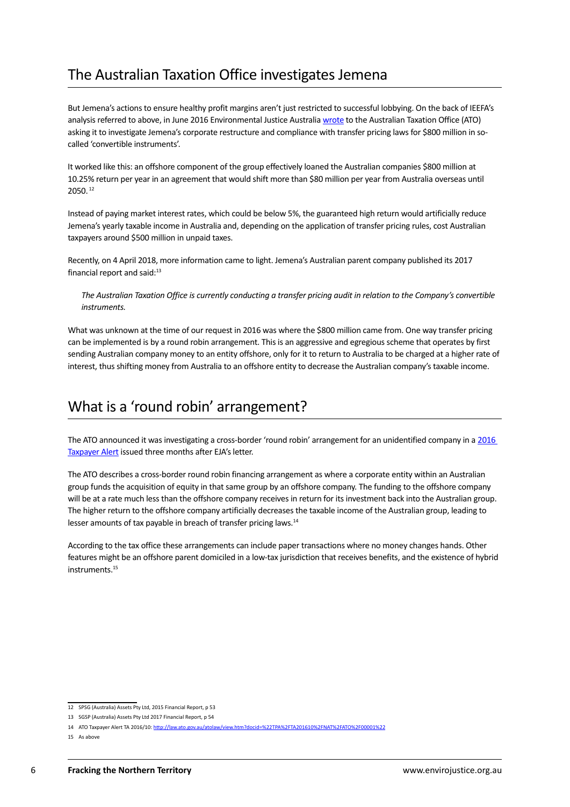#### <span id="page-5-0"></span>The Australian Taxation Office investigates Jemena

But Jemena's actions to ensure healthy profit margins aren't just restricted to successful lobbying. On the back of IEEFA's analysis referred to above, in June 2016 Environmental Justice Australia [wrote](http://www.afr.com/news/policy/tax/jemena-funding-arrangements-raised-with-the-ato-20160610-gpgk63) to the Australian Taxation Office (ATO) asking it to investigate Jemena's corporate restructure and compliance with transfer pricing laws for \$800 million in socalled 'convertible instruments'.

It worked like this: an offshore component of the group effectively loaned the Australian companies \$800 million at 10.25% return per year in an agreement that would shift more than \$80 million per year from Australia overseas until 2050. 12

Instead of paying market interest rates, which could be below 5%, the guaranteed high return would artificially reduce Jemena's yearly taxable income in Australia and, depending on the application of transfer pricing rules, cost Australian taxpayers around \$500 million in unpaid taxes.

Recently, on 4 April 2018, more information came to light. Jemena's Australian parent company published its 2017 financial report and said:<sup>13</sup>

*The Australian Taxation Office is currently conducting a transfer pricing audit in relation to the Company's convertible instruments.*

What was unknown at the time of our request in 2016 was where the \$800 million came from. One way transfer pricing can be implemented is by a round robin arrangement. This is an aggressive and egregious scheme that operates by first sending Australian company money to an entity offshore, only for it to return to Australia to be charged at a higher rate of interest, thus shifting money from Australia to an offshore entity to decrease the Australian company's taxable income.

#### What is a 'round robin' arrangement?

The ATO announced it was investigating a cross-border 'round robin' arrangement for an unidentified company in a [2016](http://law.ato.gov.au/atolaw/view.htm?docid=%22TPA%2FTA201610%2FNAT%2FATO%2F00001%22) [Taxpayer Alert](http://law.ato.gov.au/atolaw/view.htm?docid=%22TPA%2FTA201610%2FNAT%2FATO%2F00001%22) issued three months after EJA's letter.

The ATO describes a cross-border round robin financing arrangement as where a corporate entity within an Australian group funds the acquisition of equity in that same group by an offshore company. The funding to the offshore company will be at a rate much less than the offshore company receives in return for its investment back into the Australian group. The higher return to the offshore company artificially decreases the taxable income of the Australian group, leading to lesser amounts of tax payable in breach of transfer pricing laws.14

According to the tax office these arrangements can include paper transactions where no money changes hands. Other features might be an offshore parent domiciled in a low-tax jurisdiction that receives benefits, and the existence of hybrid instruments.15

<sup>12</sup> SPSG (Australia) Assets Pty Ltd, 2015 Financial Report, p 53

<sup>13</sup> SGSP (Australia) Assets Pty Ltd 2017 Financial Report, p 54

<sup>14</sup> ATO Taxpayer Alert TA 2016/10: http://law.ato.gov.au/atolaw/view.htm?docid=%22TPA%2FTA201610%2FNAT%2FATO%2F00001%22

<sup>15</sup> As above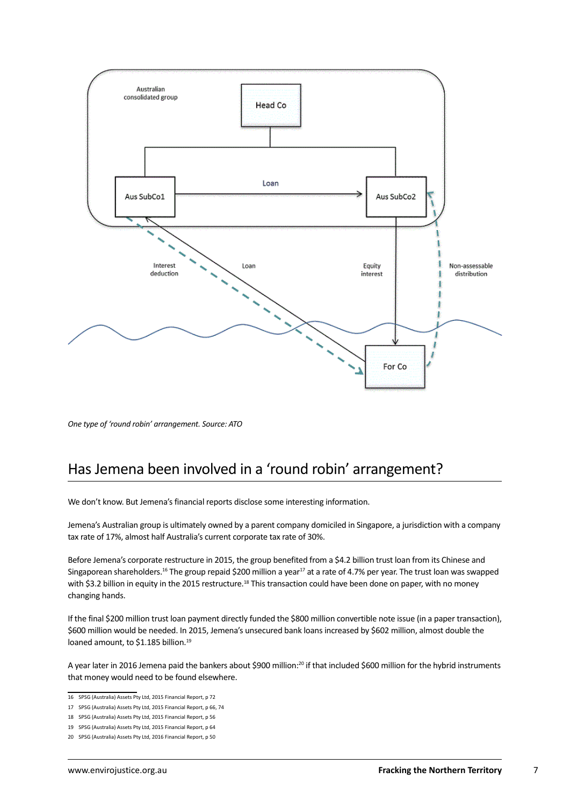

*One type of 'round robin' arrangement. Source: ATO*

### Has Jemena been involved in a 'round robin' arrangement?

We don't know. But Jemena's financial reports disclose some interesting information.

Jemena's Australian group is ultimately owned by a parent company domiciled in Singapore, a jurisdiction with a company tax rate of 17%, almost half Australia's current corporate tax rate of 30%.

Before Jemena's corporate restructure in 2015, the group benefited from a \$4.2 billion trust loan from its Chinese and Singaporean shareholders.<sup>16</sup> The group repaid \$200 million a year<sup>17</sup> at a rate of 4.7% per year. The trust loan was swapped with \$3.2 billion in equity in the 2015 restructure.<sup>18</sup> This transaction could have been done on paper, with no money changing hands.

If the final \$200 million trust loan payment directly funded the \$800 million convertible note issue (in a paper transaction), \$600 million would be needed. In 2015, Jemena's unsecured bank loans increased by \$602 million, almost double the loaned amount, to \$1.185 billion.<sup>19</sup>

A year later in 2016 Jemena paid the bankers about \$900 million:20 if that included \$600 million for the hybrid instruments that money would need to be found elsewhere.

<sup>16</sup> SPSG (Australia) Assets Pty Ltd, 2015 Financial Report, p 72

<sup>17</sup> SPSG (Australia) Assets Pty Ltd, 2015 Financial Report, p 66, 74

<sup>18</sup> SPSG (Australia) Assets Pty Ltd, 2015 Financial Report, p 56

<sup>19</sup> SPSG (Australia) Assets Pty Ltd, 2015 Financial Report, p 64

<sup>20</sup> SPSG (Australia) Assets Pty Ltd, 2016 Financial Report, p 50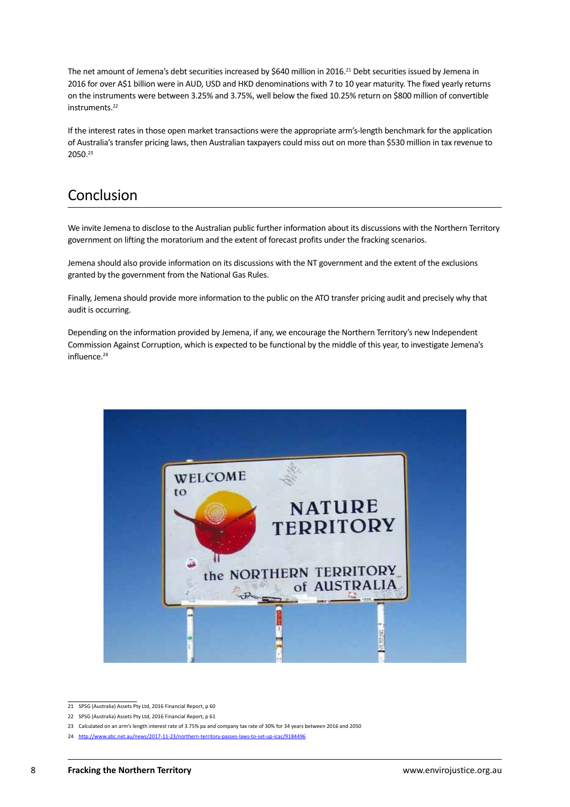<span id="page-7-0"></span>The net amount of Jemena's debt securities increased by \$640 million in 2016.<sup>21</sup> Debt securities issued by Jemena in 2016 for over A\$1 billion were in AUD, USD and HKD denominations with 7 to 10 year maturity. The fixed yearly returns on the instruments were between 3.25% and 3.75%, well below the fixed 10.25% return on \$800 million of convertible instruments.<sup>22</sup>

If the interest rates in those open market transactions were the appropriate arm's-length benchmark for the application of Australia's transfer pricing laws, then Australian taxpayers could miss out on more than \$530 million in tax revenue to 2050.23

#### **Conclusion**

We invite Jemena to disclose to the Australian public further information about its discussions with the Northern Territory government on lifting the moratorium and the extent of forecast profits under the fracking scenarios.

Jemena should also provide information on its discussions with the NT government and the extent of the exclusions granted by the government from the National Gas Rules.

Finally, Jemena should provide more information to the public on the ATO transfer pricing audit and precisely why that audit is occurring.

Depending on the information provided by Jemena, if any, we encourage the Northern Territory's new Independent Commission Against Corruption, which is expected to be functional by the middle of this year, to investigate Jemena's influence.24



<sup>21</sup> SPSG (Australia) Assets Pty Ltd, 2016 Financial Report, p 60

<sup>22</sup> SPSG (Australia) Assets Pty Ltd, 2016 Financial Report, p 61

<sup>23</sup> Calculated on an arm's length interest rate of 3.75% pa and company tax rate of 30% for 34 years between 2016 and 2050

<sup>24</sup> <http://www.abc.net.au/news/2017-11-23/northern-territory-passes-laws-to-set-up-icac/9184496>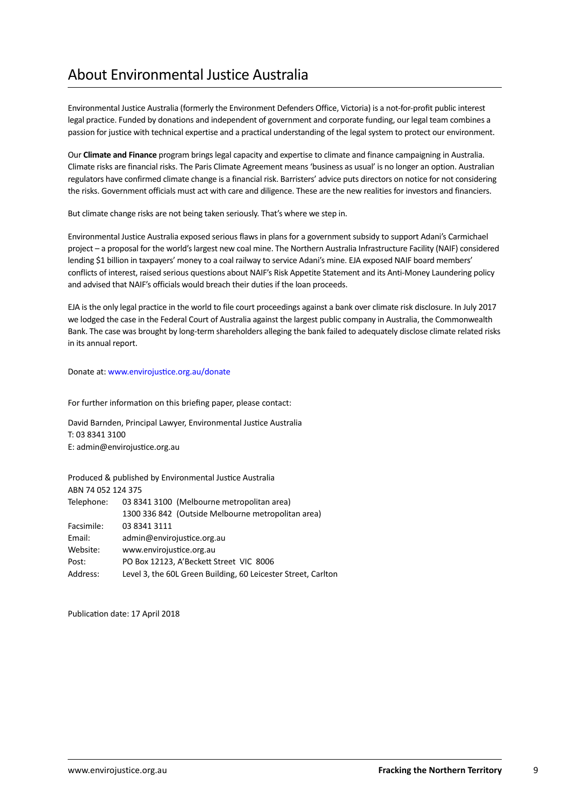## <span id="page-8-0"></span>About Environmental Justice Australia

Environmental Justice Australia (formerly the Environment Defenders Office, Victoria) is a not-for-profit public interest legal practice. Funded by donations and independent of government and corporate funding, our legal team combines a passion for justice with technical expertise and a practical understanding of the legal system to protect our environment.

Our **Climate and Finance** program brings legal capacity and expertise to climate and finance campaigning in Australia. Climate risks are financial risks. The Paris Climate Agreement means 'business as usual' is no longer an option. Australian regulators have confirmed climate change is a financial risk. Barristers' advice puts directors on notice for not considering the risks. Government officials must act with care and diligence. These are the new realities for investors and financiers.

But climate change risks are not being taken seriously. That's where we step in.

Environmental Justice Australia exposed serious flaws in plans for a government subsidy to support Adani's Carmichael project – a proposal for the world's largest new coal mine. The Northern Australia Infrastructure Facility (NAIF) considered lending \$1 billion in taxpayers' money to a coal railway to service Adani's mine. EJA exposed NAIF board members' conflicts of interest, raised serious questions about NAIF's Risk Appetite Statement and its Anti-Money Laundering policy and advised that NAIF's officials would breach their duties if the loan proceeds.

EJA is the only legal practice in the world to file court proceedings against a bank over climate risk disclosure. In July 2017 we lodged the case in the Federal Court of Australia against the largest public company in Australia, the Commonwealth Bank. The case was brought by long-term shareholders alleging the bank failed to adequately disclose climate related risks in its annual report.

Donate at: www.envirojustice.org.au/donate

For further information on this briefing paper, please contact:

David Barnden, Principal Lawyer, Environmental Justice Australia T: 03 8341 3100 E: admin@envirojustice.org.au

Produced & published by Environmental Justice Australia ABN 74 052 124 375

| Telephone: | 03 8341 3100 (Melbourne metropolitan area)                    |
|------------|---------------------------------------------------------------|
|            | 1300 336 842 (Outside Melbourne metropolitan area)            |
| Facsimile: | 03 8341 3111                                                  |
| Email:     | admin@envirojustice.org.au                                    |
| Website:   | www.envirojustice.org.au                                      |
| Post:      | PO Box 12123, A'Beckett Street VIC 8006                       |
| Address:   | Level 3, the 60L Green Building, 60 Leicester Street, Carlton |

Publication date: 17 April 2018